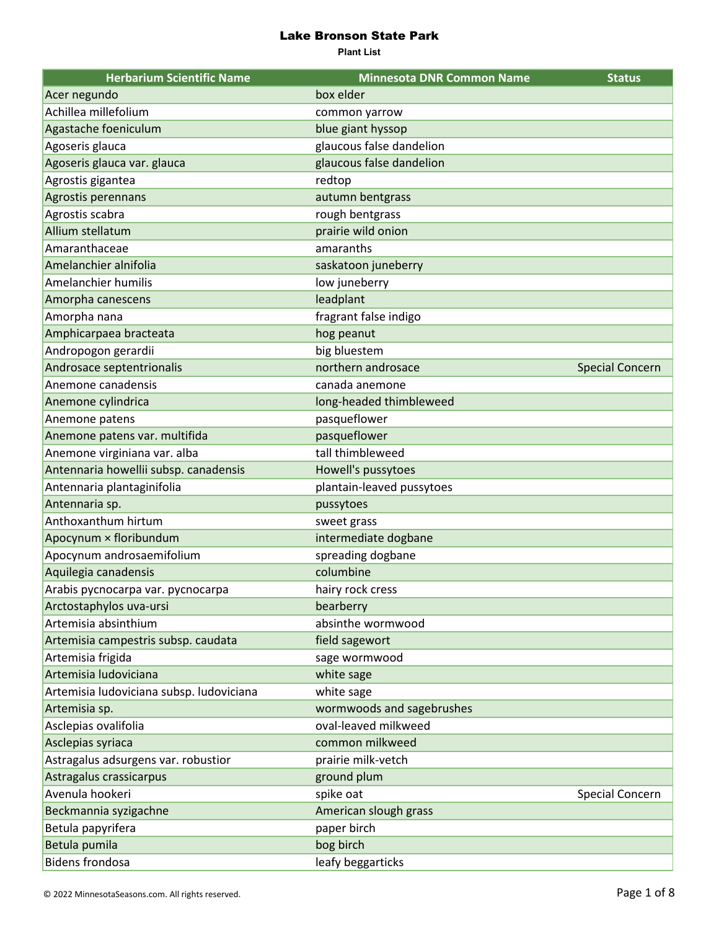| <b>Herbarium Scientific Name</b>         | <b>Minnesota DNR Common Name</b> | <b>Status</b>          |
|------------------------------------------|----------------------------------|------------------------|
| Acer negundo                             | box elder                        |                        |
| Achillea millefolium                     | common yarrow                    |                        |
| Agastache foeniculum                     | blue giant hyssop                |                        |
| Agoseris glauca                          | glaucous false dandelion         |                        |
| Agoseris glauca var. glauca              | glaucous false dandelion         |                        |
| Agrostis gigantea                        | redtop                           |                        |
| Agrostis perennans                       | autumn bentgrass                 |                        |
| Agrostis scabra                          | rough bentgrass                  |                        |
| Allium stellatum                         | prairie wild onion               |                        |
| Amaranthaceae                            | amaranths                        |                        |
| Amelanchier alnifolia                    | saskatoon juneberry              |                        |
| Amelanchier humilis                      | low juneberry                    |                        |
| Amorpha canescens                        | leadplant                        |                        |
| Amorpha nana                             | fragrant false indigo            |                        |
| Amphicarpaea bracteata                   | hog peanut                       |                        |
| Andropogon gerardii                      | big bluestem                     |                        |
| Androsace septentrionalis                | northern androsace               | <b>Special Concern</b> |
| Anemone canadensis                       | canada anemone                   |                        |
| Anemone cylindrica                       | long-headed thimbleweed          |                        |
| Anemone patens                           | pasqueflower                     |                        |
| Anemone patens var. multifida            | pasqueflower                     |                        |
| Anemone virginiana var. alba             | tall thimbleweed                 |                        |
| Antennaria howellii subsp. canadensis    | Howell's pussytoes               |                        |
| Antennaria plantaginifolia               | plantain-leaved pussytoes        |                        |
| Antennaria sp.                           | pussytoes                        |                        |
| Anthoxanthum hirtum                      | sweet grass                      |                        |
| Apocynum × floribundum                   | intermediate dogbane             |                        |
| Apocynum androsaemifolium                | spreading dogbane                |                        |
| Aquilegia canadensis                     | columbine                        |                        |
| Arabis pycnocarpa var. pycnocarpa        | hairy rock cress                 |                        |
| Arctostaphylos uva-ursi                  | bearberry                        |                        |
| Artemisia absinthium                     | absinthe wormwood                |                        |
| Artemisia campestris subsp. caudata      | field sagewort                   |                        |
| Artemisia frigida                        | sage wormwood                    |                        |
| Artemisia ludoviciana                    | white sage                       |                        |
| Artemisia ludoviciana subsp. ludoviciana | white sage                       |                        |
| Artemisia sp.                            | wormwoods and sagebrushes        |                        |
| Asclepias ovalifolia                     | oval-leaved milkweed             |                        |
| Asclepias syriaca                        | common milkweed                  |                        |
| Astragalus adsurgens var. robustior      | prairie milk-vetch               |                        |
| Astragalus crassicarpus                  | ground plum                      |                        |
| Avenula hookeri                          | spike oat                        | <b>Special Concern</b> |
| Beckmannia syzigachne                    | American slough grass            |                        |
| Betula papyrifera                        | paper birch                      |                        |
| Betula pumila                            | bog birch                        |                        |
| <b>Bidens frondosa</b>                   | leafy beggarticks                |                        |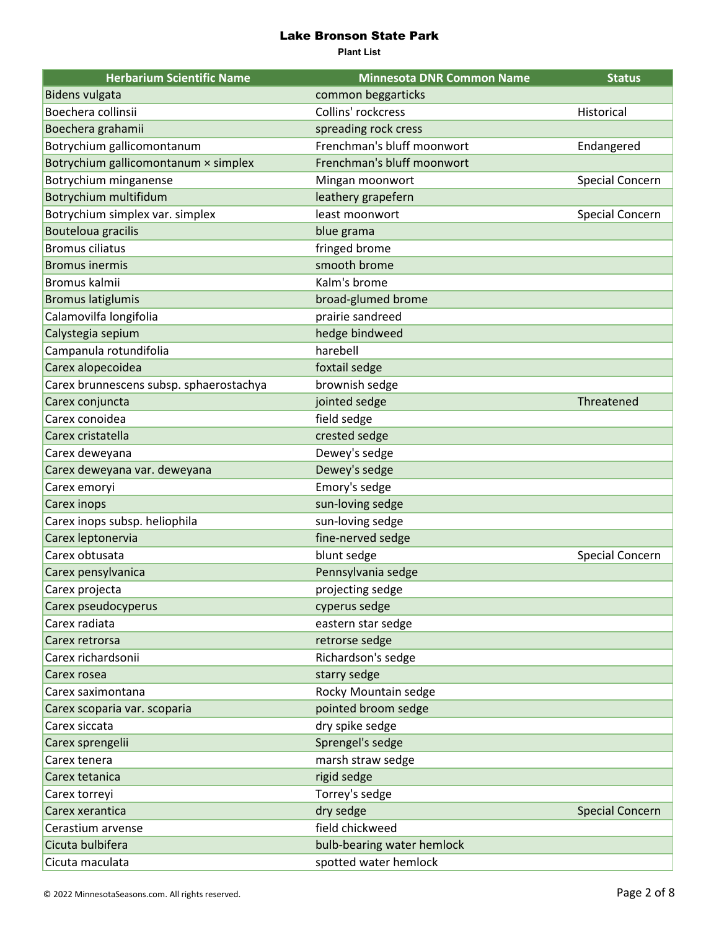| <b>Herbarium Scientific Name</b>        | <b>Minnesota DNR Common Name</b> | <b>Status</b>          |
|-----------------------------------------|----------------------------------|------------------------|
| <b>Bidens vulgata</b>                   | common beggarticks               |                        |
| Boechera collinsii                      | Collins' rockcress               | Historical             |
| Boechera grahamii                       | spreading rock cress             |                        |
| Botrychium gallicomontanum              | Frenchman's bluff moonwort       | Endangered             |
| Botrychium gallicomontanum × simplex    | Frenchman's bluff moonwort       |                        |
| Botrychium minganense                   | Mingan moonwort                  | <b>Special Concern</b> |
| Botrychium multifidum                   | leathery grapefern               |                        |
| Botrychium simplex var. simplex         | least moonwort                   | <b>Special Concern</b> |
| <b>Bouteloua gracilis</b>               | blue grama                       |                        |
| <b>Bromus ciliatus</b>                  | fringed brome                    |                        |
| <b>Bromus inermis</b>                   | smooth brome                     |                        |
| Bromus kalmii                           | Kalm's brome                     |                        |
| <b>Bromus latiglumis</b>                | broad-glumed brome               |                        |
| Calamovilfa longifolia                  | prairie sandreed                 |                        |
| Calystegia sepium                       | hedge bindweed                   |                        |
| Campanula rotundifolia                  | harebell                         |                        |
| Carex alopecoidea                       | foxtail sedge                    |                        |
| Carex brunnescens subsp. sphaerostachya | brownish sedge                   |                        |
| Carex conjuncta                         | jointed sedge                    | Threatened             |
| Carex conoidea                          | field sedge                      |                        |
| Carex cristatella                       | crested sedge                    |                        |
| Carex deweyana                          | Dewey's sedge                    |                        |
| Carex deweyana var. deweyana            | Dewey's sedge                    |                        |
| Carex emoryi                            | Emory's sedge                    |                        |
| Carex inops                             | sun-loving sedge                 |                        |
| Carex inops subsp. heliophila           | sun-loving sedge                 |                        |
| Carex leptonervia                       | fine-nerved sedge                |                        |
| Carex obtusata                          | blunt sedge                      | <b>Special Concern</b> |
| Carex pensylvanica                      | Pennsylvania sedge               |                        |
| Carex projecta                          | projecting sedge                 |                        |
| Carex pseudocyperus                     | cyperus sedge                    |                        |
| Carex radiata                           | eastern star sedge               |                        |
| Carex retrorsa                          | retrorse sedge                   |                        |
| Carex richardsonii                      | Richardson's sedge               |                        |
| Carex rosea                             | starry sedge                     |                        |
| Carex saximontana                       | Rocky Mountain sedge             |                        |
| Carex scoparia var. scoparia            | pointed broom sedge              |                        |
| Carex siccata                           | dry spike sedge                  |                        |
| Carex sprengelii                        | Sprengel's sedge                 |                        |
| Carex tenera                            | marsh straw sedge                |                        |
| Carex tetanica                          | rigid sedge                      |                        |
| Carex torreyi                           | Torrey's sedge                   |                        |
| Carex xerantica                         | dry sedge                        | <b>Special Concern</b> |
| Cerastium arvense                       | field chickweed                  |                        |
| Cicuta bulbifera                        | bulb-bearing water hemlock       |                        |
| Cicuta maculata                         | spotted water hemlock            |                        |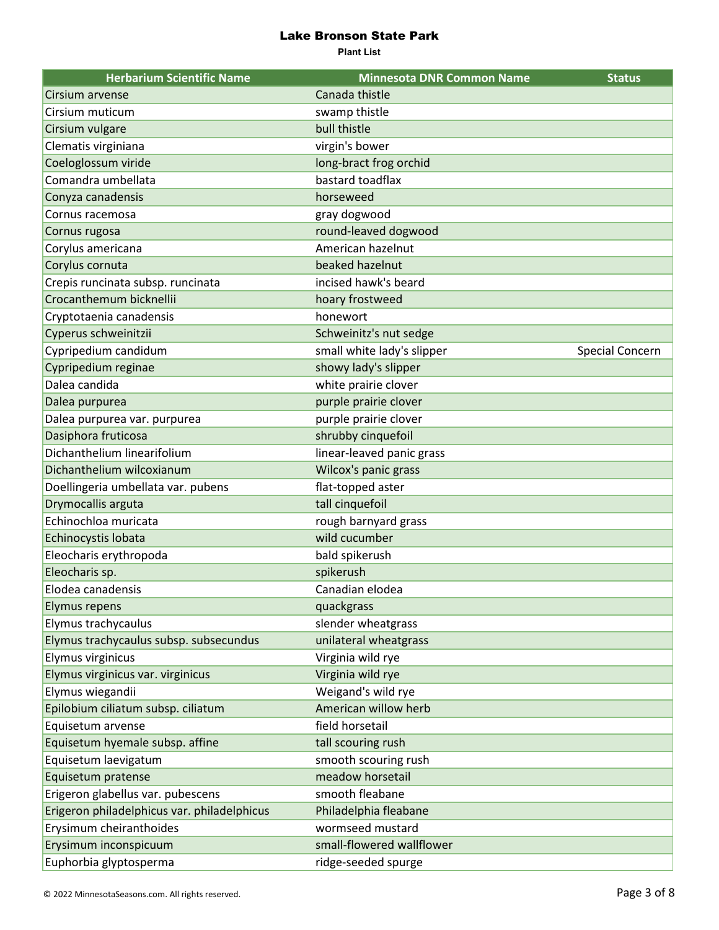| <b>Herbarium Scientific Name</b>            | <b>Minnesota DNR Common Name</b> | <b>Status</b>          |
|---------------------------------------------|----------------------------------|------------------------|
| Cirsium arvense                             | Canada thistle                   |                        |
| Cirsium muticum                             | swamp thistle                    |                        |
| Cirsium vulgare                             | bull thistle                     |                        |
| Clematis virginiana                         | virgin's bower                   |                        |
| Coeloglossum viride                         | long-bract frog orchid           |                        |
| Comandra umbellata                          | bastard toadflax                 |                        |
| Conyza canadensis                           | horseweed                        |                        |
| Cornus racemosa                             | gray dogwood                     |                        |
| Cornus rugosa                               | round-leaved dogwood             |                        |
| Corylus americana                           | American hazelnut                |                        |
| Corylus cornuta                             | beaked hazelnut                  |                        |
| Crepis runcinata subsp. runcinata           | incised hawk's beard             |                        |
| Crocanthemum bicknellii                     | hoary frostweed                  |                        |
| Cryptotaenia canadensis                     | honewort                         |                        |
| Cyperus schweinitzii                        | Schweinitz's nut sedge           |                        |
| Cypripedium candidum                        | small white lady's slipper       | <b>Special Concern</b> |
| Cypripedium reginae                         | showy lady's slipper             |                        |
| Dalea candida                               | white prairie clover             |                        |
| Dalea purpurea                              | purple prairie clover            |                        |
| Dalea purpurea var. purpurea                | purple prairie clover            |                        |
| Dasiphora fruticosa                         | shrubby cinquefoil               |                        |
| Dichanthelium linearifolium                 | linear-leaved panic grass        |                        |
| Dichanthelium wilcoxianum                   | Wilcox's panic grass             |                        |
| Doellingeria umbellata var. pubens          | flat-topped aster                |                        |
| Drymocallis arguta                          | tall cinquefoil                  |                        |
| Echinochloa muricata                        | rough barnyard grass             |                        |
| Echinocystis lobata                         | wild cucumber                    |                        |
| Eleocharis erythropoda                      | bald spikerush                   |                        |
| Eleocharis sp.                              | spikerush                        |                        |
| Elodea canadensis                           | Canadian elodea                  |                        |
| <b>Elymus repens</b>                        | quackgrass                       |                        |
| Elymus trachycaulus                         | slender wheatgrass               |                        |
| Elymus trachycaulus subsp. subsecundus      | unilateral wheatgrass            |                        |
| Elymus virginicus                           | Virginia wild rye                |                        |
| Elymus virginicus var. virginicus           | Virginia wild rye                |                        |
| Elymus wiegandii                            | Weigand's wild rye               |                        |
| Epilobium ciliatum subsp. ciliatum          | American willow herb             |                        |
| Equisetum arvense                           | field horsetail                  |                        |
| Equisetum hyemale subsp. affine             | tall scouring rush               |                        |
| Equisetum laevigatum                        | smooth scouring rush             |                        |
| Equisetum pratense                          | meadow horsetail                 |                        |
| Erigeron glabellus var. pubescens           | smooth fleabane                  |                        |
| Erigeron philadelphicus var. philadelphicus | Philadelphia fleabane            |                        |
| Erysimum cheiranthoides                     | wormseed mustard                 |                        |
| Erysimum inconspicuum                       | small-flowered wallflower        |                        |
| Euphorbia glyptosperma                      | ridge-seeded spurge              |                        |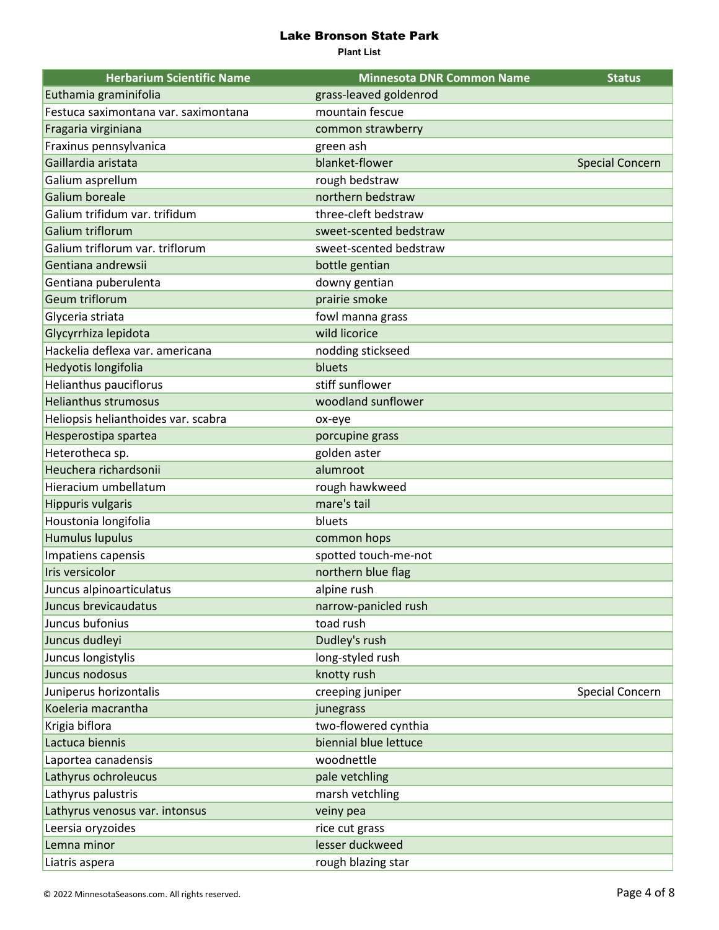| <b>Herbarium Scientific Name</b>     | <b>Minnesota DNR Common Name</b> | <b>Status</b>          |
|--------------------------------------|----------------------------------|------------------------|
| Euthamia graminifolia                | grass-leaved goldenrod           |                        |
| Festuca saximontana var. saximontana | mountain fescue                  |                        |
| Fragaria virginiana                  | common strawberry                |                        |
| Fraxinus pennsylvanica               | green ash                        |                        |
| Gaillardia aristata                  | blanket-flower                   | <b>Special Concern</b> |
| Galium asprellum                     | rough bedstraw                   |                        |
| Galium boreale                       | northern bedstraw                |                        |
| Galium trifidum var. trifidum        | three-cleft bedstraw             |                        |
| Galium triflorum                     | sweet-scented bedstraw           |                        |
| Galium triflorum var. triflorum      | sweet-scented bedstraw           |                        |
| Gentiana andrewsii                   | bottle gentian                   |                        |
| Gentiana puberulenta                 | downy gentian                    |                        |
| Geum triflorum                       | prairie smoke                    |                        |
| Glyceria striata                     | fowl manna grass                 |                        |
| Glycyrrhiza lepidota                 | wild licorice                    |                        |
| Hackelia deflexa var. americana      | nodding stickseed                |                        |
| Hedyotis longifolia                  | bluets                           |                        |
| Helianthus pauciflorus               | stiff sunflower                  |                        |
| <b>Helianthus strumosus</b>          | woodland sunflower               |                        |
| Heliopsis helianthoides var. scabra  | ox-eye                           |                        |
| Hesperostipa spartea                 | porcupine grass                  |                        |
| Heterotheca sp.                      | golden aster                     |                        |
| Heuchera richardsonii                | alumroot                         |                        |
| Hieracium umbellatum                 | rough hawkweed                   |                        |
| <b>Hippuris vulgaris</b>             | mare's tail                      |                        |
| Houstonia longifolia                 | bluets                           |                        |
| <b>Humulus lupulus</b>               | common hops                      |                        |
| Impatiens capensis                   | spotted touch-me-not             |                        |
| Iris versicolor                      | northern blue flag               |                        |
| Juncus alpinoarticulatus             | alpine rush                      |                        |
| Juncus brevicaudatus                 | narrow-panicled rush             |                        |
| Juncus bufonius                      | toad rush                        |                        |
| Juncus dudleyi                       | Dudley's rush                    |                        |
| Juncus longistylis                   | long-styled rush                 |                        |
| Juncus nodosus                       | knotty rush                      |                        |
| Juniperus horizontalis               | creeping juniper                 | <b>Special Concern</b> |
| Koeleria macrantha                   | junegrass                        |                        |
| Krigia biflora                       | two-flowered cynthia             |                        |
| Lactuca biennis                      | biennial blue lettuce            |                        |
| Laportea canadensis                  | woodnettle                       |                        |
| Lathyrus ochroleucus                 | pale vetchling                   |                        |
| Lathyrus palustris                   | marsh vetchling                  |                        |
| Lathyrus venosus var. intonsus       | veiny pea                        |                        |
| Leersia oryzoides                    | rice cut grass                   |                        |
| Lemna minor                          | lesser duckweed                  |                        |
| Liatris aspera                       | rough blazing star               |                        |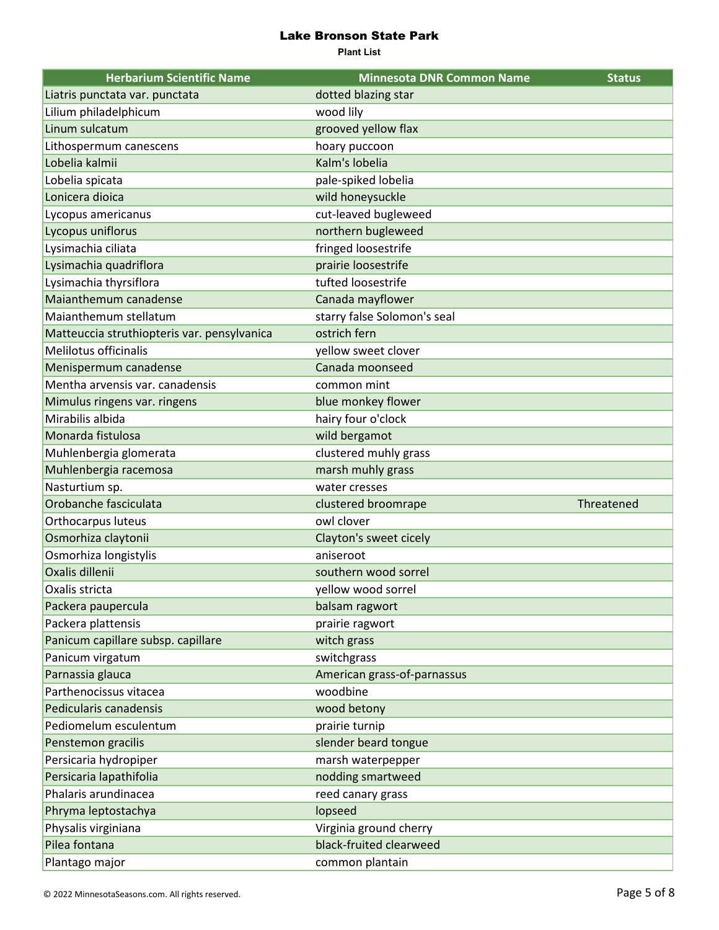| <b>Herbarium Scientific Name</b>            | <b>Minnesota DNR Common Name</b> | <b>Status</b> |
|---------------------------------------------|----------------------------------|---------------|
| Liatris punctata var. punctata              | dotted blazing star              |               |
| Lilium philadelphicum                       | wood lily                        |               |
| Linum sulcatum                              | grooved yellow flax              |               |
| Lithospermum canescens                      | hoary puccoon                    |               |
| Lobelia kalmii                              | Kalm's lobelia                   |               |
| Lobelia spicata                             | pale-spiked lobelia              |               |
| Lonicera dioica                             | wild honeysuckle                 |               |
| Lycopus americanus                          | cut-leaved bugleweed             |               |
| Lycopus uniflorus                           | northern bugleweed               |               |
| Lysimachia ciliata                          | fringed loosestrife              |               |
| Lysimachia quadriflora                      | prairie loosestrife              |               |
| Lysimachia thyrsiflora                      | tufted loosestrife               |               |
| Maianthemum canadense                       | Canada mayflower                 |               |
| Maianthemum stellatum                       | starry false Solomon's seal      |               |
| Matteuccia struthiopteris var. pensylvanica | ostrich fern                     |               |
| Melilotus officinalis                       | yellow sweet clover              |               |
| Menispermum canadense                       | Canada moonseed                  |               |
| Mentha arvensis var. canadensis             | common mint                      |               |
| Mimulus ringens var. ringens                | blue monkey flower               |               |
| Mirabilis albida                            | hairy four o'clock               |               |
| Monarda fistulosa                           | wild bergamot                    |               |
| Muhlenbergia glomerata                      | clustered muhly grass            |               |
| Muhlenbergia racemosa                       | marsh muhly grass                |               |
| Nasturtium sp.                              | water cresses                    |               |
| Orobanche fasciculata                       | clustered broomrape              | Threatened    |
| Orthocarpus luteus                          | owl clover                       |               |
| Osmorhiza claytonii                         | Clayton's sweet cicely           |               |
| Osmorhiza longistylis                       | aniseroot                        |               |
| Oxalis dillenii                             | southern wood sorrel             |               |
| Oxalis stricta                              | vellow wood sorrel               |               |
| Packera paupercula                          | balsam ragwort                   |               |
| Packera plattensis                          | prairie ragwort                  |               |
| Panicum capillare subsp. capillare          | witch grass                      |               |
| Panicum virgatum                            | switchgrass                      |               |
| Parnassia glauca                            | American grass-of-parnassus      |               |
| Parthenocissus vitacea                      | woodbine                         |               |
| Pedicularis canadensis                      | wood betony                      |               |
| Pediomelum esculentum                       | prairie turnip                   |               |
| Penstemon gracilis                          | slender beard tongue             |               |
| Persicaria hydropiper                       | marsh waterpepper                |               |
| Persicaria lapathifolia                     | nodding smartweed                |               |
| Phalaris arundinacea                        | reed canary grass                |               |
| Phryma leptostachya                         | lopseed                          |               |
| Physalis virginiana                         | Virginia ground cherry           |               |
| Pilea fontana                               | black-fruited clearweed          |               |
| Plantago major                              | common plantain                  |               |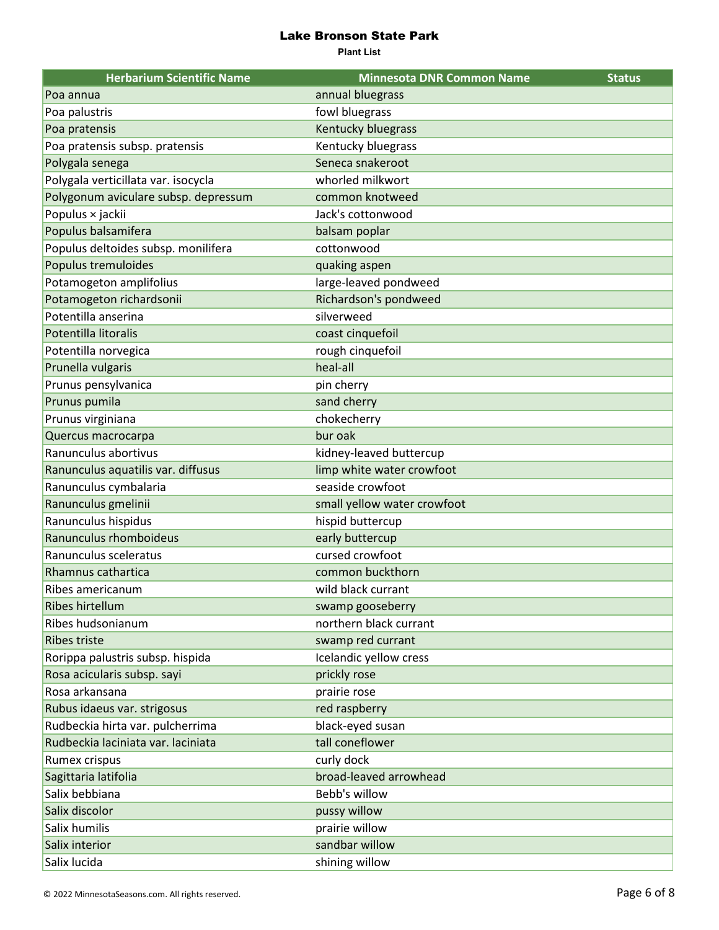| <b>Herbarium Scientific Name</b>     | <b>Minnesota DNR Common Name</b> | <b>Status</b> |
|--------------------------------------|----------------------------------|---------------|
| Poa annua                            | annual bluegrass                 |               |
| Poa palustris                        | fowl bluegrass                   |               |
| Poa pratensis                        | Kentucky bluegrass               |               |
| Poa pratensis subsp. pratensis       | Kentucky bluegrass               |               |
| Polygala senega                      | Seneca snakeroot                 |               |
| Polygala verticillata var. isocycla  | whorled milkwort                 |               |
| Polygonum aviculare subsp. depressum | common knotweed                  |               |
| Populus × jackii                     | Jack's cottonwood                |               |
| Populus balsamifera                  | balsam poplar                    |               |
| Populus deltoides subsp. monilifera  | cottonwood                       |               |
| Populus tremuloides                  | quaking aspen                    |               |
| Potamogeton amplifolius              | large-leaved pondweed            |               |
| Potamogeton richardsonii             | Richardson's pondweed            |               |
| Potentilla anserina                  | silverweed                       |               |
| Potentilla litoralis                 | coast cinquefoil                 |               |
| Potentilla norvegica                 | rough cinquefoil                 |               |
| Prunella vulgaris                    | heal-all                         |               |
| Prunus pensylvanica                  | pin cherry                       |               |
| Prunus pumila                        | sand cherry                      |               |
| Prunus virginiana                    | chokecherry                      |               |
| Quercus macrocarpa                   | bur oak                          |               |
| Ranunculus abortivus                 | kidney-leaved buttercup          |               |
| Ranunculus aquatilis var. diffusus   | limp white water crowfoot        |               |
| Ranunculus cymbalaria                | seaside crowfoot                 |               |
| Ranunculus gmelinii                  | small yellow water crowfoot      |               |
| Ranunculus hispidus                  | hispid buttercup                 |               |
| Ranunculus rhomboideus               | early buttercup                  |               |
| Ranunculus sceleratus                | cursed crowfoot                  |               |
| Rhamnus cathartica                   | common buckthorn                 |               |
| Ribes americanum                     | wild black currant               |               |
| Ribes hirtellum                      | swamp gooseberry                 |               |
| Ribes hudsonianum                    | northern black currant           |               |
| <b>Ribes triste</b>                  | swamp red currant                |               |
| Rorippa palustris subsp. hispida     | Icelandic yellow cress           |               |
| Rosa acicularis subsp. sayi          | prickly rose                     |               |
| Rosa arkansana                       | prairie rose                     |               |
| Rubus idaeus var. strigosus          | red raspberry                    |               |
| Rudbeckia hirta var. pulcherrima     | black-eyed susan                 |               |
| Rudbeckia laciniata var. laciniata   | tall coneflower                  |               |
| Rumex crispus                        | curly dock                       |               |
| Sagittaria latifolia                 | broad-leaved arrowhead           |               |
| Salix bebbiana                       | Bebb's willow                    |               |
| Salix discolor                       | pussy willow                     |               |
| Salix humilis                        | prairie willow                   |               |
| Salix interior                       | sandbar willow                   |               |
| Salix lucida                         | shining willow                   |               |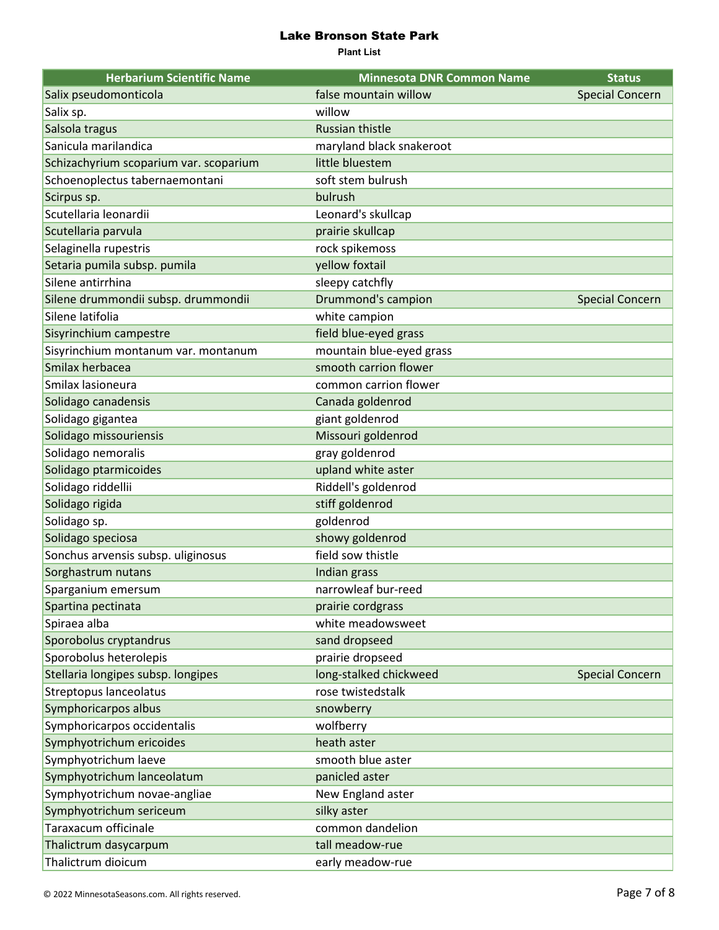| <b>Herbarium Scientific Name</b>       | <b>Minnesota DNR Common Name</b> | <b>Status</b>          |
|----------------------------------------|----------------------------------|------------------------|
| Salix pseudomonticola                  | false mountain willow            | <b>Special Concern</b> |
| Salix sp.                              | willow                           |                        |
| Salsola tragus                         | <b>Russian thistle</b>           |                        |
| Sanicula marilandica                   | maryland black snakeroot         |                        |
| Schizachyrium scoparium var. scoparium | little bluestem                  |                        |
| Schoenoplectus tabernaemontani         | soft stem bulrush                |                        |
| Scirpus sp.                            | bulrush                          |                        |
| Scutellaria leonardii                  | Leonard's skullcap               |                        |
| Scutellaria parvula                    | prairie skullcap                 |                        |
| Selaginella rupestris                  | rock spikemoss                   |                        |
| Setaria pumila subsp. pumila           | yellow foxtail                   |                        |
| Silene antirrhina                      | sleepy catchfly                  |                        |
| Silene drummondii subsp. drummondii    | Drummond's campion               | <b>Special Concern</b> |
| Silene latifolia                       | white campion                    |                        |
| Sisyrinchium campestre                 | field blue-eyed grass            |                        |
| Sisyrinchium montanum var. montanum    | mountain blue-eyed grass         |                        |
| Smilax herbacea                        | smooth carrion flower            |                        |
| Smilax lasioneura                      | common carrion flower            |                        |
| Solidago canadensis                    | Canada goldenrod                 |                        |
| Solidago gigantea                      | giant goldenrod                  |                        |
| Solidago missouriensis                 | Missouri goldenrod               |                        |
| Solidago nemoralis                     | gray goldenrod                   |                        |
| Solidago ptarmicoides                  | upland white aster               |                        |
| Solidago riddellii                     | Riddell's goldenrod              |                        |
| Solidago rigida                        | stiff goldenrod                  |                        |
| Solidago sp.                           | goldenrod                        |                        |
| Solidago speciosa                      | showy goldenrod                  |                        |
| Sonchus arvensis subsp. uliginosus     | field sow thistle                |                        |
| Sorghastrum nutans                     | Indian grass                     |                        |
| Sparganium emersum                     | narrowleaf bur-reed              |                        |
| Spartina pectinata                     | prairie cordgrass                |                        |
| Spiraea alba                           | white meadowsweet                |                        |
| Sporobolus cryptandrus                 | sand dropseed                    |                        |
| Sporobolus heterolepis                 | prairie dropseed                 |                        |
| Stellaria longipes subsp. longipes     | long-stalked chickweed           | <b>Special Concern</b> |
| Streptopus lanceolatus                 | rose twistedstalk                |                        |
| Symphoricarpos albus                   | snowberry                        |                        |
| Symphoricarpos occidentalis            | wolfberry                        |                        |
| Symphyotrichum ericoides               | heath aster                      |                        |
| Symphyotrichum laeve                   | smooth blue aster                |                        |
| Symphyotrichum lanceolatum             | panicled aster                   |                        |
| Symphyotrichum novae-angliae           | New England aster                |                        |
| Symphyotrichum sericeum                | silky aster                      |                        |
| Taraxacum officinale                   | common dandelion                 |                        |
| Thalictrum dasycarpum                  | tall meadow-rue                  |                        |
| Thalictrum dioicum                     | early meadow-rue                 |                        |